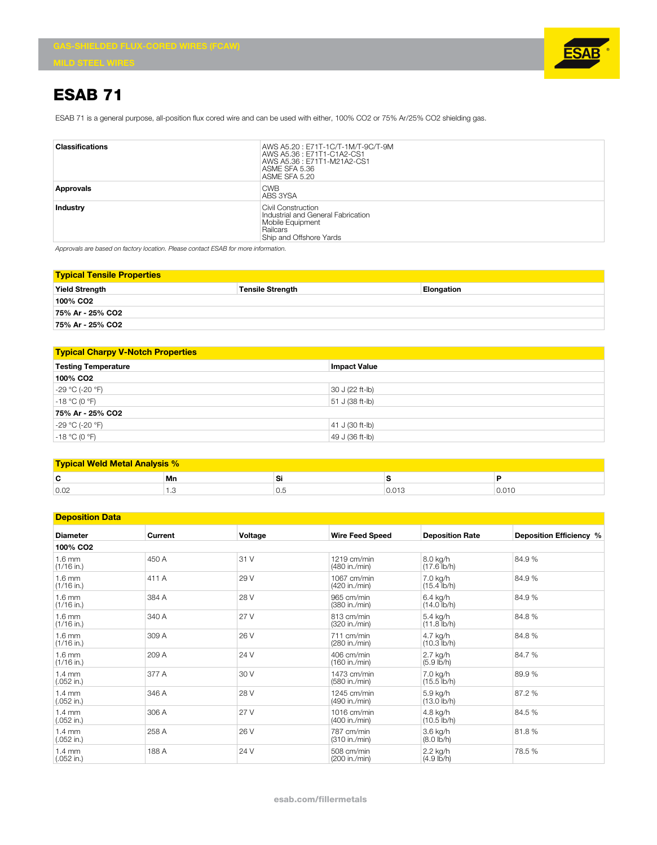

## **ESAB 71**

ESAB 71 is a general purpose, all-position flux cored wire and can be used with either, 100% CO2 or 75% Ar/25% CO2 shielding gas.

| <b>Classifications</b> | AWS A5.20: E71T-1C/T-1M/T-9C/T-9M<br>AWS A5.36 : E71T1-C1A2-CS1<br>AWS A5.36: E71T1-M21A2-CS1<br>ASME SFA 5.36<br>ASME SFA 5.20 |
|------------------------|---------------------------------------------------------------------------------------------------------------------------------|
| Approvals              | <b>CWB</b><br>ABS 3YSA                                                                                                          |
| <b>Industry</b>        | Civil Construction<br>Industrial and General Fabrication<br>Mobile Equipment<br><b>Railcars</b><br>Ship and Offshore Yards      |

*Approvals are based on factory location. Please contact ESAB for more information.*

| <b>Typical Tensile Properties</b> |                         |            |  |  |
|-----------------------------------|-------------------------|------------|--|--|
| <b>Yield Strength</b>             | <b>Tensile Strength</b> | Elongation |  |  |
| 100% CO2                          |                         |            |  |  |
| 75% Ar - 25% CO2                  |                         |            |  |  |
| 75% Ar - 25% CO2                  |                         |            |  |  |

| <b>Typical Charpy V-Notch Properties</b> |                     |  |  |  |
|------------------------------------------|---------------------|--|--|--|
| <b>Testing Temperature</b>               | <b>Impact Value</b> |  |  |  |
| 100% CO <sub>2</sub>                     |                     |  |  |  |
| -29 °C (-20 °F)                          | $30 J (22 ft-lb)$   |  |  |  |
| $-18 °C (0 °F)$                          | 51 J (38 ft-lb)     |  |  |  |
| 75% Ar - 25% CO2                         |                     |  |  |  |
| $-29 °C (-20 °F)$                        | $ 41 J (30 ft-lb)$  |  |  |  |
| $-18 °C (0 °F)$                          | 49 J (36 ft-lb)     |  |  |  |

| <b>Typical Weld Metal Analysis %</b> |                 |     |       |       |  |
|--------------------------------------|-----------------|-----|-------|-------|--|
| r<br>                                | Mn              | Si  |       |       |  |
| 0.02                                 | $\cdot$ $\circ$ | U.J | 0.013 | 0.010 |  |

## **Deposition Data**

| <u>νσμυσιτινιι ναια</u>          |         |         |                                |                                     |                         |
|----------------------------------|---------|---------|--------------------------------|-------------------------------------|-------------------------|
| <b>Diameter</b>                  | Current | Voltage | <b>Wire Feed Speed</b>         | <b>Deposition Rate</b>              | Deposition Efficiency % |
| 100% CO <sub>2</sub>             |         |         |                                |                                     |                         |
| $1.6$ mm<br>$(1/16$ in.)         | 450 A   | 31 V    | $1219$ cm/min<br>(480 in./min) | 8.0 kg/h<br>$(17.6$ lb/h)           | 84.9%                   |
| $1.6 \text{ mm}$<br>$(1/16$ in.) | 411 A   | 29 V    | 1067 cm/min<br>(420 in./min)   | 7.0 kg/h<br>$(15.4$ lb/h)           | 84.9%                   |
| $1.6$ mm<br>$(1/16$ in.)         | 384 A   | 28 V    | 965 cm/min<br>(380 in./min)    | 6.4 kg/h<br>$(14.0 \, \text{lb/h})$ | 84.9%                   |
| $1.6 \text{ mm}$<br>$(1/16$ in.) | 340 A   | 27 V    | 813 cm/min<br>(320 in./min)    | 5.4 kg/h<br>$(11.8 \text{ lb/h})$   | 84.8%                   |
| $1.6 \text{ mm}$<br>$(1/16$ in.) | 309 A   | 26 V    | 711 cm/min<br>(280 in./min)    | 4.7 kg/h<br>$(10.3$ lb/h)           | 84.8%                   |
| $1.6$ mm<br>$(1/16$ in.)         | 209 A   | 24 V    | 406 cm/min<br>(160 in./min)    | 2.7 kg/h<br>(5.9 lb/h)              | 84.7 %                  |
| $1.4 \text{ mm}$<br>$(.052$ in.) | 377 A   | 30 V    | 1473 cm/min<br>(580 in./min)   | 7.0 kg/h<br>$(15.5$ lb/h)           | 89.9%                   |
| $1.4 \text{ mm}$<br>$(.052$ in.) | 346 A   | 28 V    | 1245 cm/min<br>(490 in./min)   | 5.9 kg/h<br>$(13.0 \, \text{lb/h})$ | 87.2 %                  |
| $1.4 \text{ mm}$<br>$(.052$ in.) | 306 A   | 27 V    | $1016$ cm/min<br>(400 in./min) | 4.8 kg/h<br>$(10.5 \text{ lb/h})$   | 84.5 %                  |
| $1.4 \text{ mm}$<br>$(.052$ in.) | 258 A   | 26 V    | 787 cm/min<br>(310 in./min)    | 3.6 kg/h<br>$(8.0 \, \text{lb/h})$  | 81.8%                   |
| $1.4 \text{ mm}$<br>$(.052$ in.) | 188 A   | 24 V    | 508 cm/min<br>(200 in./min)    | 2.2 kg/h<br>(4.9 lb/h)              | 78.5 %                  |